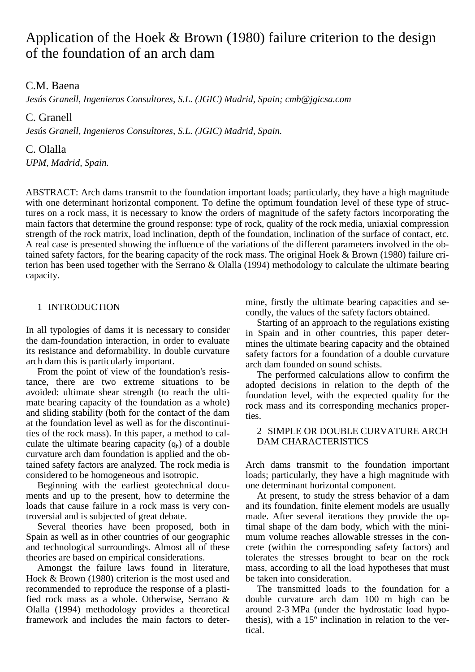# Application of the Hoek & Brown (1980) failure criterion to the design of the foundation of an arch dam

C.M. Baena

*Jesús Granell, Ingenieros Consultores, S.L. (JGIC) Madrid, Spain; cmb@jgicsa.com* 

C. Granell

*Jesús Granell, Ingenieros Consultores, S.L. (JGIC) Madrid, Spain.* 

C. Olalla

*UPM, Madrid, Spain.* 

ABSTRACT: Arch dams transmit to the foundation important loads; particularly, they have a high magnitude with one determinant horizontal component. To define the optimum foundation level of these type of structures on a rock mass, it is necessary to know the orders of magnitude of the safety factors incorporating the main factors that determine the ground response: type of rock, quality of the rock media, uniaxial compression strength of the rock matrix, load inclination, depth of the foundation, inclination of the surface of contact, etc. A real case is presented showing the influence of the variations of the different parameters involved in the obtained safety factors, for the bearing capacity of the rock mass. The original Hoek & Brown (1980) failure criterion has been used together with the Serrano & Olalla (1994) methodology to calculate the ultimate bearing capacity.

## 1 INTRODUCTION

In all typologies of dams it is necessary to consider the dam-foundation interaction, in order to evaluate its resistance and deformability. In double curvature arch dam this is particularly important.

From the point of view of the foundation's resistance, there are two extreme situations to be avoided: ultimate shear strength (to reach the ultimate bearing capacity of the foundation as a whole) and sliding stability (both for the contact of the dam at the foundation level as well as for the discontinuities of the rock mass). In this paper, a method to calculate the ultimate bearing capacity  $(q_h)$  of a double curvature arch dam foundation is applied and the obtained safety factors are analyzed. The rock media is considered to be homogeneous and isotropic.

Beginning with the earliest geotechnical documents and up to the present, how to determine the loads that cause failure in a rock mass is very controversial and is subjected of great debate.

Several theories have been proposed, both in Spain as well as in other countries of our geographic and technological surroundings. Almost all of these theories are based on empirical considerations.

Amongst the failure laws found in literature, Hoek & Brown (1980) criterion is the most used and recommended to reproduce the response of a plastified rock mass as a whole. Otherwise, Serrano & Olalla (1994) methodology provides a theoretical framework and includes the main factors to determine, firstly the ultimate bearing capacities and secondly, the values of the safety factors obtained.

Starting of an approach to the regulations existing in Spain and in other countries, this paper determines the ultimate bearing capacity and the obtained safety factors for a foundation of a double curvature arch dam founded on sound schists.

The performed calculations allow to confirm the adopted decisions in relation to the depth of the foundation level, with the expected quality for the rock mass and its corresponding mechanics properties.

## 2 SIMPLE OR DOUBLE CURVATURE ARCH DAM CHARACTERISTICS

Arch dams transmit to the foundation important loads; particularly, they have a high magnitude with one determinant horizontal component.

At present, to study the stress behavior of a dam and its foundation, finite element models are usually made. After several iterations they provide the optimal shape of the dam body, which with the minimum volume reaches allowable stresses in the concrete (within the corresponding safety factors) and tolerates the stresses brought to bear on the rock mass, according to all the load hypotheses that must be taken into consideration.

The transmitted loads to the foundation for a double curvature arch dam 100 m high can be around 2-3 MPa (under the hydrostatic load hypothesis), with a 15º inclination in relation to the vertical.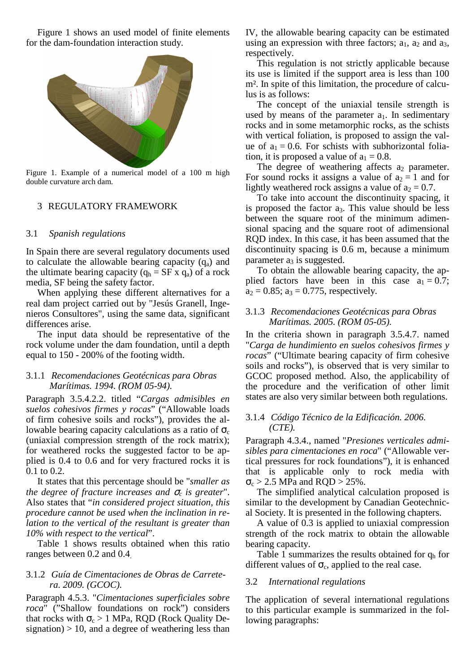Figure 1 shows an used model of finite elements for the dam-foundation interaction study.



Figure 1. Example of a numerical model of a 100 m high double curvature arch dam.

## 3 REGULATORY FRAMEWORK

### 3.1 *Spanish regulations*

In Spain there are several regulatory documents used to calculate the allowable bearing capacity  $(q_a)$  and the ultimate bearing capacity ( $q_h = SF \times q_a$ ) of a rock media, SF being the safety factor.

When applying these different alternatives for a real dam project carried out by "Jesús Granell, Ingenieros Consultores", using the same data, significant differences arise.

The input data should be representative of the rock volume under the dam foundation, until a depth equal to 150 - 200% of the footing width.

## 3.1.1 *Recomendaciones Geotécnicas para Obras Marítimas. 1994. (ROM 05-94).*

Paragraph 3.5.4.2.2. titled "*Cargas admisibles en suelos cohesivos firmes y rocas*" ("Allowable loads of firm cohesive soils and rocks"), provides the allowable bearing capacity calculations as a ratio of  $\sigma_c$ (uniaxial compression strength of the rock matrix); for weathered rocks the suggested factor to be applied is 0.4 to 0.6 and for very fractured rocks it is 0.1 to 0.2.

It states that this percentage should be "*smaller as the degree of fracture increases and*  $\sigma_c$  *is greater*". Also states that "*in considered project situation, this procedure cannot be used when the inclination in relation to the vertical of the resultant is greater than 10% with respect to the vertical*".

Table 1 shows results obtained when this ratio ranges between 0.2 and 0.4.

## 3.1.2 *Guía de Cimentaciones de Obras de Carretera. 2009. (GCOC).*

Paragraph 4.5.3. "*Cimentaciones superficiales sobre roca*" ("Shallow foundations on rock") considers that rocks with  $\sigma_c > 1$  MPa, RQD (Rock Quality Designation)  $> 10$ , and a degree of weathering less than IV, the allowable bearing capacity can be estimated using an expression with three factors;  $a_1$ ,  $a_2$  and  $a_3$ , respectively.

This regulation is not strictly applicable because its use is limited if the support area is less than 100 m<sup>2</sup>. In spite of this limitation, the procedure of calculus is as follows:

The concept of the uniaxial tensile strength is used by means of the parameter  $a_1$ . In sedimentary rocks and in some metamorphic rocks, as the schists with vertical foliation, is proposed to assign the value of  $a_1 = 0.6$ . For schists with subhorizontal foliation, it is proposed a value of  $a_1 = 0.8$ .

The degree of weathering affects  $a_2$  parameter. For sound rocks it assigns a value of  $a_2 = 1$  and for lightly weathered rock assigns a value of  $a_2 = 0.7$ .

To take into account the discontinuity spacing, it is proposed the factor a<sub>3</sub>. This value should be less between the square root of the minimum adimensional spacing and the square root of adimensional RQD index. In this case, it has been assumed that the discontinuity spacing is 0.6 m, because a minimum parameter  $a_3$  is suggested.

To obtain the allowable bearing capacity, the applied factors have been in this case  $a_1 = 0.7$ ;  $a_2 = 0.85$ ;  $a_3 = 0.775$ , respectively.

## 3.1.3 *Recomendaciones Geotécnicas para Obras Marítimas. 2005. (ROM 05-05).*

In the criteria shown in paragraph 3.5.4.7. named "*Carga de hundimiento en suelos cohesivos firmes y rocas*" ("Ultimate bearing capacity of firm cohesive soils and rocks"), is observed that is very similar to GCOC proposed method. Also, the applicability of the procedure and the verification of other limit states are also very similar between both regulations.

## 3.1.4 *Código Técnico de la Edificación. 2006. (CTE).*

Paragraph 4.3.4., named "*Presiones verticales admisibles para cimentaciones en roca*" ("Allowable vertical pressures for rock foundations"), it is enhanced that is applicable only to rock media with  $\sigma_c$  > 2.5 MPa and RQD > 25%.

The simplified analytical calculation proposed is similar to the development by Canadian Geotechnical Society. It is presented in the following chapters.

A value of 0.3 is applied to uniaxial compression strength of the rock matrix to obtain the allowable bearing capacity.

Table 1 summarizes the results obtained for  $q_h$  for different values of  $\sigma_c$ , applied to the real case.

## 3.2 *International regulations*

The application of several international regulations to this particular example is summarized in the following paragraphs: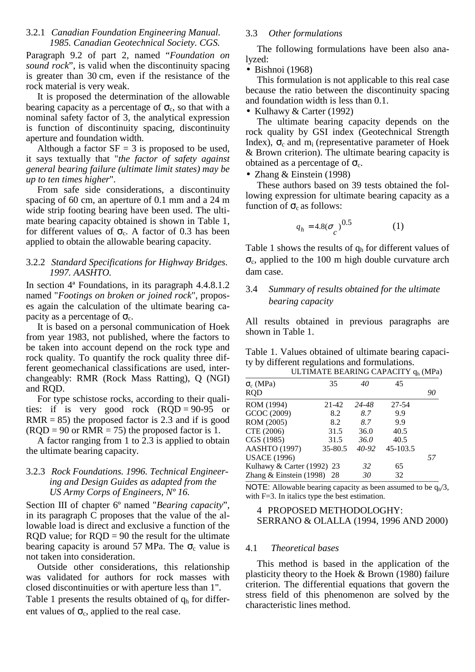## 3.2.1 *Canadian Foundation Engineering Manual. 1985. Canadian Geotechnical Society. CGS.*

Paragraph 9.2 of part 2, named "*Foundation on sound rock*", is valid when the discontinuity spacing is greater than 30 cm, even if the resistance of the rock material is very weak.

It is proposed the determination of the allowable bearing capacity as a percentage of  $\sigma_c$ , so that with a nominal safety factor of 3, the analytical expression is function of discontinuity spacing, discontinuity aperture and foundation width.

Although a factor  $SF = 3$  is proposed to be used, it says textually that "*the factor of safety against general bearing failure (ultimate limit states) may be up to ten times higher*".

From safe side considerations, a discontinuity spacing of 60 cm, an aperture of 0.1 mm and a 24 m wide strip footing bearing have been used. The ultimate bearing capacity obtained is shown in Table 1, for different values of  $\sigma_c$ . A factor of 0.3 has been applied to obtain the allowable bearing capacity.

# 3.2.2 *Standard Specifications for Highway Bridges. 1997. AASHTO.*

In section 4ª Foundations, in its paragraph 4.4.8.1.2 named "*Footings on broken or joined rock*", proposes again the calculation of the ultimate bearing capacity as a percentage of  $\sigma_c$ .

It is based on a personal communication of Hoek from year 1983, not published, where the factors to be taken into account depend on the rock type and rock quality. To quantify the rock quality three different geomechanical classifications are used, interchangeably: RMR (Rock Mass Ratting), Q (NGI) and RQD.

For type schistose rocks, according to their qualities: if is very good rock (RQD = 90-95 or  $RMR = 85$ ) the proposed factor is 2.3 and if is good  $(RQD = 90$  or RMR = 75) the proposed factor is 1.

A factor ranging from 1 to 2.3 is applied to obtain the ultimate bearing capacity.

# 3.2.3 *Rock Foundations. 1996. Technical Engineering and Design Guides as adapted from the US Army Corps of Engineers, Nº 16.*

Section III of chapter 6º named "*Bearing capacity*", in its paragraph C proposes that the value of the allowable load is direct and exclusive a function of the RQD value; for  $RQD = 90$  the result for the ultimate bearing capacity is around 57 MPa. The  $\sigma_c$  value is not taken into consideration.

Outside other considerations, this relationship was validated for authors for rock masses with closed discontinuities or with aperture less than 1".

Table 1 presents the results obtained of  $q<sub>h</sub>$  for different values of  $\sigma_c$ , applied to the real case.

# 3.3 *Other formulations*

The following formulations have been also analyzed:

# $\bullet$  Bishnoi (1968)

This formulation is not applicable to this real case because the ratio between the discontinuity spacing and foundation width is less than 0.1.

## • Kulhawy & Carter (1992)

The ultimate bearing capacity depends on the rock quality by GSI index (Geotechnical Strength Index),  $\sigma_c$  and m<sub>i</sub> (representative parameter of Hoek & Brown criterion). The ultimate bearing capacity is obtained as a percentage of  $\sigma_c$ .

# • Zhang & Einstein (1998)

These authors based on 39 tests obtained the following expression for ultimate bearing capacity as a function of  $\sigma_c$  as follows:

$$
q_h = 4.8(\sigma_c)^{0.5} \tag{1}
$$

Table 1 shows the results of  $q_h$  for different values of  $\sigma_c$ , applied to the 100 m high double curvature arch dam case.

# 3.4 *Summary of results obtained for the ultimate bearing capacity*

All results obtained in previous paragraphs are shown in Table 1.

Table 1. Values obtained of ultimate bearing capacity by different regulations and formulations.

| ULTIMATE BEARING CAPACITY q <sub>h</sub> (MPa) |    |  |  |  |
|------------------------------------------------|----|--|--|--|
| 45                                             |    |  |  |  |
|                                                | 90 |  |  |  |
| 27-54                                          |    |  |  |  |
| 9.9                                            |    |  |  |  |
| 9.9                                            |    |  |  |  |
| 40.5                                           |    |  |  |  |
| 40.5                                           |    |  |  |  |
| 45-103.5                                       |    |  |  |  |
|                                                | 57 |  |  |  |
| 65                                             |    |  |  |  |
| 32                                             |    |  |  |  |
|                                                |    |  |  |  |

NOTE: Allowable bearing capacity as been assumed to be  $q_h/3$ , with F=3. In italics type the best estimation.

## 4 PROPOSED METHODOLOGHY: SERRANO & OLALLA (1994, 1996 AND 2000)

# 4.1 *Theoretical bases*

This method is based in the application of the plasticity theory to the Hoek & Brown (1980) failure criterion. The differential equations that govern the stress field of this phenomenon are solved by the characteristic lines method.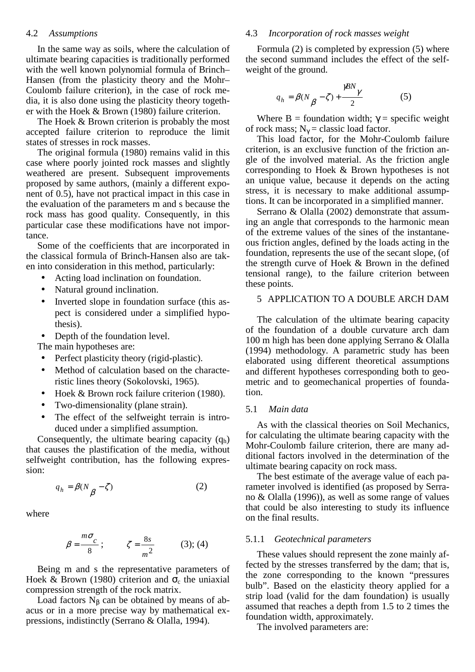#### 4.2 *Assumptions*

In the same way as soils, where the calculation of ultimate bearing capacities is traditionally performed with the well known polynomial formula of Brinch– Hansen (from the plasticity theory and the Mohr– Coulomb failure criterion), in the case of rock media, it is also done using the plasticity theory together with the Hoek & Brown (1980) failure criterion.

The Hoek & Brown criterion is probably the most accepted failure criterion to reproduce the limit states of stresses in rock masses.

The original formula (1980) remains valid in this case where poorly jointed rock masses and slightly weathered are present. Subsequent improvements proposed by same authors, (mainly a different exponent of 0.5), have not practical impact in this case in the evaluation of the parameters m and s because the rock mass has good quality. Consequently, in this particular case these modifications have not importance.

Some of the coefficients that are incorporated in the classical formula of Brinch-Hansen also are taken into consideration in this method, particularly:

- Acting load inclination on foundation.
- Natural ground inclination.
- Inverted slope in foundation surface (this aspect is considered under a simplified hypothesis).
- Depth of the foundation level.
- The main hypotheses are:
- Perfect plasticity theory (rigid-plastic).
- Method of calculation based on the characteristic lines theory (Sokolovski, 1965).
- Hoek & Brown rock failure criterion (1980).
- Two-dimensionality (plane strain).
- The effect of the selfweight terrain is introduced under a simplified assumption.

Consequently, the ultimate bearing capacity  $(q_h)$ that causes the plastification of the media, without selfweight contribution, has the following expression:

$$
q_h = \beta(N_{\beta} - \zeta) \tag{2}
$$

where

$$
\beta = \frac{m\sigma_c}{8}; \qquad \zeta = \frac{8s}{m^2} \qquad (3); (4)
$$

Being m and s the representative parameters of Hoek & Brown (1980) criterion and  $\sigma_c$  the uniaxial compression strength of the rock matrix.

Load factors  $N_B$  can be obtained by means of abacus or in a more precise way by mathematical expressions, indistinctly (Serrano & Olalla, 1994).

## 4.3 *Incorporation of rock masses weight*

Formula (2) is completed by expression (5) where the second summand includes the effect of the selfweight of the ground.

$$
q_h = \beta(N_{\beta} - \zeta) + \frac{\gamma \beta N_{\gamma}}{2} \tag{5}
$$

Where B = foundation width;  $\gamma$  = specific weight of rock mass;  $N_{\gamma}$  = classic load factor.

This load factor, for the Mohr-Coulomb failure criterion, is an exclusive function of the friction angle of the involved material. As the friction angle corresponding to Hoek & Brown hypotheses is not an unique value, because it depends on the acting stress, it is necessary to make additional assumptions. It can be incorporated in a simplified manner.

Serrano & Olalla (2002) demonstrate that assuming an angle that corresponds to the harmonic mean of the extreme values of the sines of the instantaneous friction angles, defined by the loads acting in the foundation, represents the use of the secant slope, (of the strength curve of Hoek & Brown in the defined tensional range), to the failure criterion between these points.

## 5 APPLICATION TO A DOUBLE ARCH DAM

The calculation of the ultimate bearing capacity of the foundation of a double curvature arch dam 100 m high has been done applying Serrano & Olalla (1994) methodology. A parametric study has been elaborated using different theoretical assumptions and different hypotheses corresponding both to geometric and to geomechanical properties of foundation.

## 5.1 *Main data*

As with the classical theories on Soil Mechanics, for calculating the ultimate bearing capacity with the Mohr-Coulomb failure criterion, there are many additional factors involved in the determination of the ultimate bearing capacity on rock mass.

The best estimate of the average value of each parameter involved is identified (as proposed by Serrano & Olalla (1996)), as well as some range of values that could be also interesting to study its influence on the final results.

#### 5.1.1 *Geotechnical parameters*

These values should represent the zone mainly affected by the stresses transferred by the dam; that is, the zone corresponding to the known "pressures bulb". Based on the elasticity theory applied for a strip load (valid for the dam foundation) is usually assumed that reaches a depth from 1.5 to 2 times the foundation width, approximately.

The involved parameters are: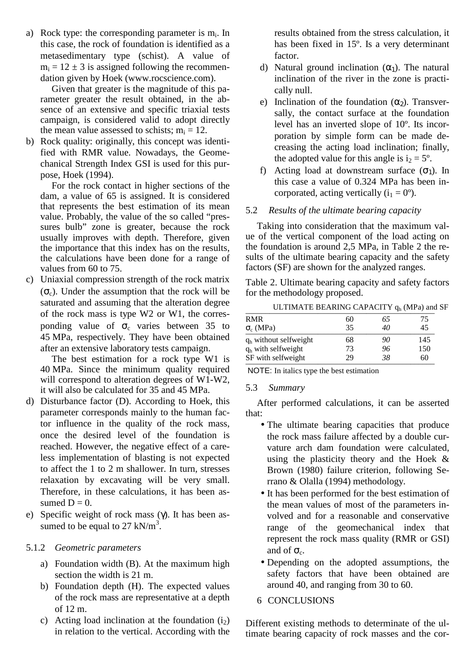a) Rock type: the corresponding parameter is  $m_i$ . In this case, the rock of foundation is identified as a metasedimentary type (schist). A value of  $m_i = 12 \pm 3$  is assigned following the recommendation given by Hoek (www.rocscience.com).

Given that greater is the magnitude of this parameter greater the result obtained, in the absence of an extensive and specific triaxial tests campaign, is considered valid to adopt directly the mean value assessed to schists;  $m_i = 12$ .

b) Rock quality: originally, this concept was identified with RMR value. Nowadays, the Geomechanical Strength Index GSI is used for this purpose, Hoek (1994).

For the rock contact in higher sections of the dam, a value of 65 is assigned. It is considered that represents the best estimation of its mean value. Probably, the value of the so called "pressures bulb" zone is greater, because the rock usually improves with depth. Therefore, given the importance that this index has on the results, the calculations have been done for a range of values from 60 to 75.

c) Uniaxial compression strength of the rock matrix  $(\sigma_c)$ . Under the assumption that the rock will be saturated and assuming that the alteration degree of the rock mass is type W2 or W1, the corresponding value of  $\sigma_c$  varies between 35 to 45 MPa, respectively. They have been obtained after an extensive laboratory tests campaign.

The best estimation for a rock type W1 is 40 MPa. Since the minimum quality required will correspond to alteration degrees of W1-W2, it will also be calculated for 35 and 45 MPa.

- d) Disturbance factor (D). According to Hoek, this parameter corresponds mainly to the human factor influence in the quality of the rock mass, once the desired level of the foundation is reached. However, the negative effect of a careless implementation of blasting is not expected to affect the 1 to 2 m shallower. In turn, stresses relaxation by excavating will be very small. Therefore, in these calculations, it has been assumed  $D = 0$ .
- e) Specific weight of rock mass (γ). It has been assumed to be equal to 27  $kN/m^3$ .

# 5.1.2 *Geometric parameters*

- a) Foundation width (B). At the maximum high section the width is 21 m.
- b) Foundation depth (H). The expected values of the rock mass are representative at a depth of 12 m.
- c) Acting load inclination at the foundation  $(i_2)$ in relation to the vertical. According with the

results obtained from the stress calculation, it has been fixed in 15º. Is a very determinant factor.

- d) Natural ground inclination  $(\alpha_1)$ . The natural inclination of the river in the zone is practically null.
- e) Inclination of the foundation  $(\alpha_2)$ . Transversally, the contact surface at the foundation level has an inverted slope of 10º. Its incorporation by simple form can be made decreasing the acting load inclination; finally, the adopted value for this angle is  $i_2 = 5^\circ$ .
- f) Acting load at downstream surface  $(\sigma_1)$ . In this case a value of 0.324 MPa has been incorporated, acting vertically  $(i_1 = 0^{\circ})$ .

## 5.2 *Results of the ultimate bearing capacity*

Taking into consideration that the maximum value of the vertical component of the load acting on the foundation is around 2,5 MPa, in Table 2 the results of the ultimate bearing capacity and the safety factors (SF) are shown for the analyzed ranges.

Table 2. Ultimate bearing capacity and safety factors for the methodology proposed.

ULTIMATE BEARING CAPACITY  $q_h$  (MPa) and SF

| <b>RMR</b>              | 60 | 65 | 75  |
|-------------------------|----|----|-----|
| $\sigma_c$ (MPa)        | 35 | 40 | 45  |
| $qh$ without selfweight | 68 | 90 | 145 |
| $q_h$ with selfweight   | 73 | 96 | 150 |
| SF with selfweight      | 29 | 38 | 60  |

NOTE: In italics type the best estimation

## 5.3 *Summary*

After performed calculations, it can be asserted that:

- The ultimate bearing capacities that produce the rock mass failure affected by a double curvature arch dam foundation were calculated, using the plasticity theory and the Hoek & Brown (1980) failure criterion, following Serrano & Olalla (1994) methodology.
- It has been performed for the best estimation of the mean values of most of the parameters involved and for a reasonable and conservative range of the geomechanical index that represent the rock mass quality (RMR or GSI) and of  $\sigma_c$ .
- Depending on the adopted assumptions, the safety factors that have been obtained are around 40, and ranging from 30 to 60.
- 6 CONCLUSIONS

Different existing methods to determinate of the ultimate bearing capacity of rock masses and the cor